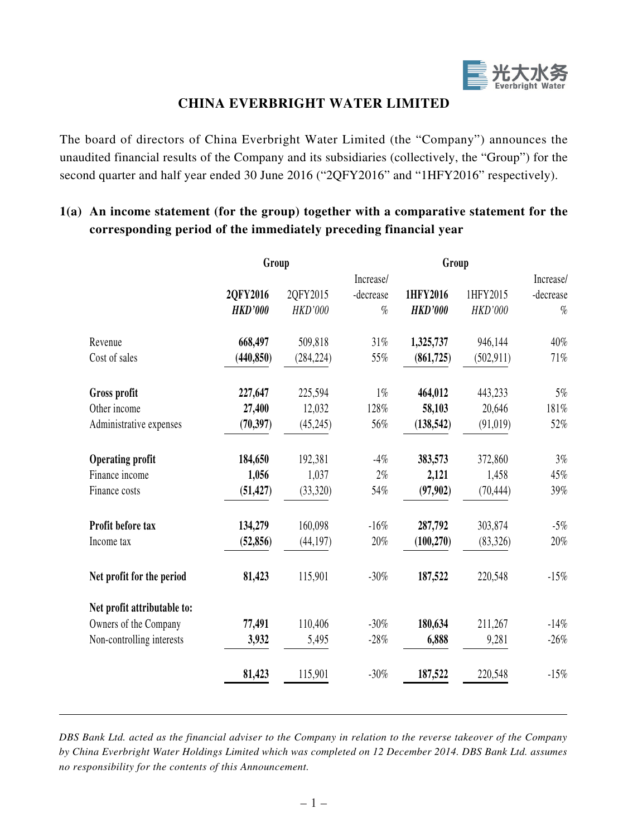

# **CHINA EVERBRIGHT WATER LIMITED**

The board of directors of China Everbright Water Limited (the "Company") announces the unaudited financial results of the Company and its subsidiaries (collectively, the "Group") for the second quarter and half year ended 30 June 2016 ("2QFY2016" and "1HFY2016" respectively).

|                             | Group          |                |           |                |                |           |  |
|-----------------------------|----------------|----------------|-----------|----------------|----------------|-----------|--|
|                             |                |                | Increase/ |                |                | Increase/ |  |
|                             | 2QFY2016       | 2QFY2015       | -decrease | 1HFY2016       | 1HFY2015       | -decrease |  |
|                             | <b>HKD'000</b> | <b>HKD'000</b> | $\%$      | <b>HKD'000</b> | <b>HKD'000</b> | $\%$      |  |
| Revenue                     | 668,497        | 509,818        | 31%       | 1,325,737      | 946,144        | 40%       |  |
| Cost of sales               | (440, 850)     | (284, 224)     | 55%       | (861,725)      | (502, 911)     | 71%       |  |
| Gross profit                | 227,647        | 225,594        | $1\%$     | 464,012        | 443,233        | 5%        |  |
| Other income                | 27,400         | 12,032         | 128%      | 58,103         | 20,646         | 181%      |  |
| Administrative expenses     | (70, 397)      | (45,245)       | 56%       | (138, 542)     | (91, 019)      | 52%       |  |
| <b>Operating profit</b>     | 184,650        | 192,381        | $-4%$     | 383,573        | 372,860        | 3%        |  |
| Finance income              | 1,056          | 1,037          | $2\%$     | 2,121          | 1,458          | 45%       |  |
| Finance costs               | (51, 427)      | (33,320)       | 54%       | (97, 902)      | (70, 444)      | 39%       |  |
| Profit before tax           | 134,279        | 160,098        | $-16%$    | 287,792        | 303,874        | $-5\%$    |  |
| Income tax                  | (52, 856)      | (44, 197)      | 20%       | (100, 270)     | (83,326)       | 20%       |  |
| Net profit for the period   | 81,423         | 115,901        | $-30%$    | 187,522        | 220,548        | $-15%$    |  |
| Net profit attributable to: |                |                |           |                |                |           |  |
| Owners of the Company       | 77,491         | 110,406        | $-30%$    | 180,634        | 211,267        | $-14%$    |  |
| Non-controlling interests   | 3,932          | 5,495          | $-28%$    | 6,888          | 9,281          | $-26%$    |  |
|                             | 81,423         | 115,901        | $-30%$    | 187,522        | 220,548        | $-15%$    |  |

# **1(a) An income statement (for the group) together with a comparative statement for the corresponding period of the immediately preceding financial year**

*DBS Bank Ltd. acted as the financial adviser to the Company in relation to the reverse takeover of the Company by China Everbright Water Holdings Limited which was completed on 12 December 2014. DBS Bank Ltd. assumes no responsibility for the contents of this Announcement.*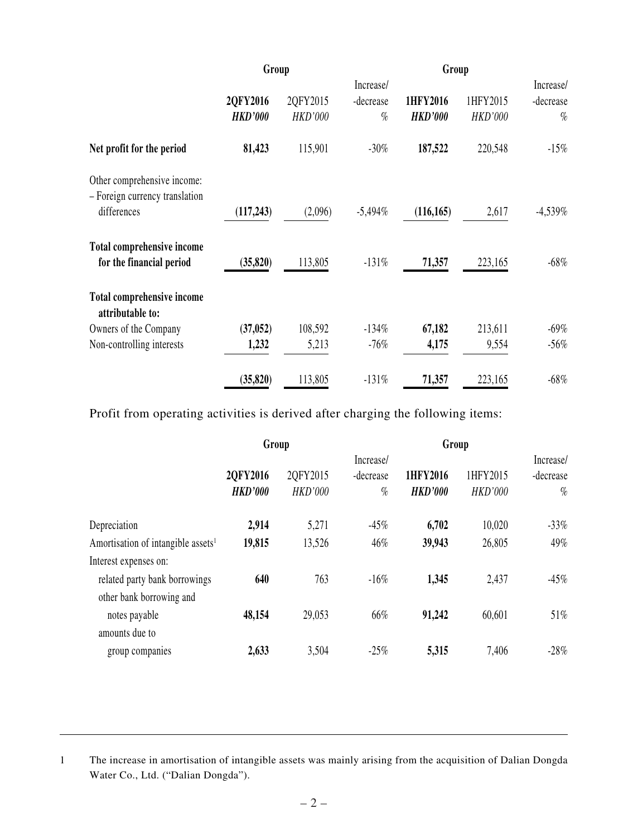|                                                               | Group          |                |            | Group          |                |            |  |
|---------------------------------------------------------------|----------------|----------------|------------|----------------|----------------|------------|--|
|                                                               |                |                | Increase/  |                | Increase/      |            |  |
|                                                               | 2QFY2016       | 2QFY2015       | -decrease  | 1HFY2016       | 1HFY2015       | -decrease  |  |
|                                                               | <b>HKD'000</b> | <b>HKD'000</b> | $\%$       | <b>HKD'000</b> | <b>HKD'000</b> | $\%$       |  |
| Net profit for the period                                     | 81,423         | 115,901        | $-30%$     | 187,522        | 220,548        | $-15%$     |  |
| Other comprehensive income:<br>- Foreign currency translation |                |                |            |                |                |            |  |
| differences                                                   | (117, 243)     | (2,096)        | $-5,494\%$ | (116, 165)     | 2,617          | $-4,539\%$ |  |
| <b>Total comprehensive income</b>                             |                |                |            |                |                |            |  |
| for the financial period                                      | (35, 820)      | 113,805        | $-131%$    | 71,357         | 223,165        | $-68\%$    |  |
| <b>Total comprehensive income</b><br>attributable to:         |                |                |            |                |                |            |  |
| Owners of the Company                                         | (37, 052)      | 108,592        | $-134%$    | 67,182         | 213,611        | $-69\%$    |  |
| Non-controlling interests                                     | 1,232          | 5,213          | $-76%$     | 4,175          | 9,554          | $-56\%$    |  |
|                                                               | (35, 820)      | 113,805        | $-131%$    | 71,357         | 223,165        | $-68%$     |  |

Profit from operating activities is derived after charging the following items:

|                                                | Group          |                |           |                |                |           |  |
|------------------------------------------------|----------------|----------------|-----------|----------------|----------------|-----------|--|
|                                                |                |                | Increase/ |                | Increase/      |           |  |
|                                                | 2QFY2016       | 2QFY2015       | -decrease | 1HFY2016       | 1HFY2015       | -decrease |  |
|                                                | <b>HKD'000</b> | <b>HKD'000</b> | $\%$      | <b>HKD'000</b> | <b>HKD'000</b> | $\%$      |  |
| Depreciation                                   | 2,914          | 5,271          | $-45%$    | 6,702          | 10,020         | $-33\%$   |  |
| Amortisation of intangible assets <sup>1</sup> | 19,815         | 13,526         | 46%       | 39,943         | 26,805         | 49%       |  |
| Interest expenses on:                          |                |                |           |                |                |           |  |
| related party bank borrowings                  | 640            | 763            | $-16%$    | 1,345          | 2,437          | $-45\%$   |  |
| other bank borrowing and                       |                |                |           |                |                |           |  |
| notes payable                                  | 48,154         | 29,053         | 66%       | 91,242         | 60,601         | $51\%$    |  |
| amounts due to                                 |                |                |           |                |                |           |  |
| group companies                                | 2,633          | 3,504          | $-25%$    | 5,315          | 7,406          | $-28\%$   |  |

1 The increase in amortisation of intangible assets was mainly arising from the acquisition of Dalian Dongda Water Co., Ltd. ("Dalian Dongda").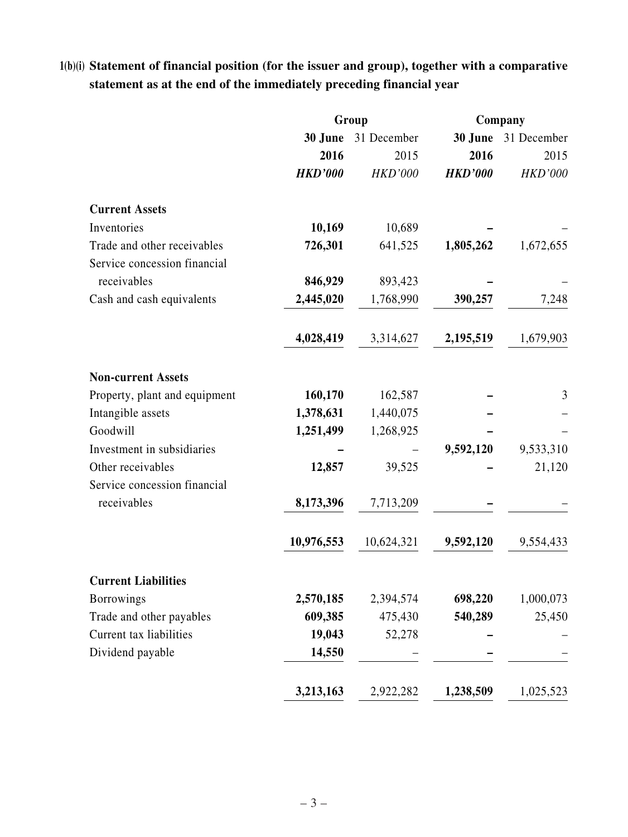# **1(b)(i) Statement of financial position (for the issuer and group), together with a comparative statement as at the end of the immediately preceding financial year**

|                               | Group          |                | Company        |                |  |
|-------------------------------|----------------|----------------|----------------|----------------|--|
|                               | 30 June        | 31 December    | 30 June        | 31 December    |  |
|                               | 2016           | 2015           | 2016           | 2015           |  |
|                               | <b>HKD'000</b> | <b>HKD'000</b> | <b>HKD'000</b> | <b>HKD'000</b> |  |
| <b>Current Assets</b>         |                |                |                |                |  |
| Inventories                   | 10,169         | 10,689         |                |                |  |
| Trade and other receivables   | 726,301        | 641,525        | 1,805,262      | 1,672,655      |  |
| Service concession financial  |                |                |                |                |  |
| receivables                   | 846,929        | 893,423        |                |                |  |
| Cash and cash equivalents     | 2,445,020      | 1,768,990      | 390,257        | 7,248          |  |
|                               | 4,028,419      | 3,314,627      | 2,195,519      | 1,679,903      |  |
| <b>Non-current Assets</b>     |                |                |                |                |  |
| Property, plant and equipment | 160,170        | 162,587        |                | 3              |  |
| Intangible assets             | 1,378,631      | 1,440,075      |                |                |  |
| Goodwill                      | 1,251,499      | 1,268,925      |                |                |  |
| Investment in subsidiaries    |                |                | 9,592,120      | 9,533,310      |  |
| Other receivables             | 12,857         | 39,525         |                | 21,120         |  |
| Service concession financial  |                |                |                |                |  |
| receivables                   | 8,173,396      | 7,713,209      |                |                |  |
|                               | 10,976,553     | 10,624,321     | 9,592,120      | 9,554,433      |  |
| <b>Current Liabilities</b>    |                |                |                |                |  |
| <b>Borrowings</b>             | 2,570,185      | 2,394,574      | 698,220        | 1,000,073      |  |
| Trade and other payables      | 609,385        | 475,430        | 540,289        | 25,450         |  |
| Current tax liabilities       | 19,043         | 52,278         |                |                |  |
| Dividend payable              | 14,550         |                |                |                |  |
|                               | 3,213,163      | 2,922,282      | 1,238,509      | 1,025,523      |  |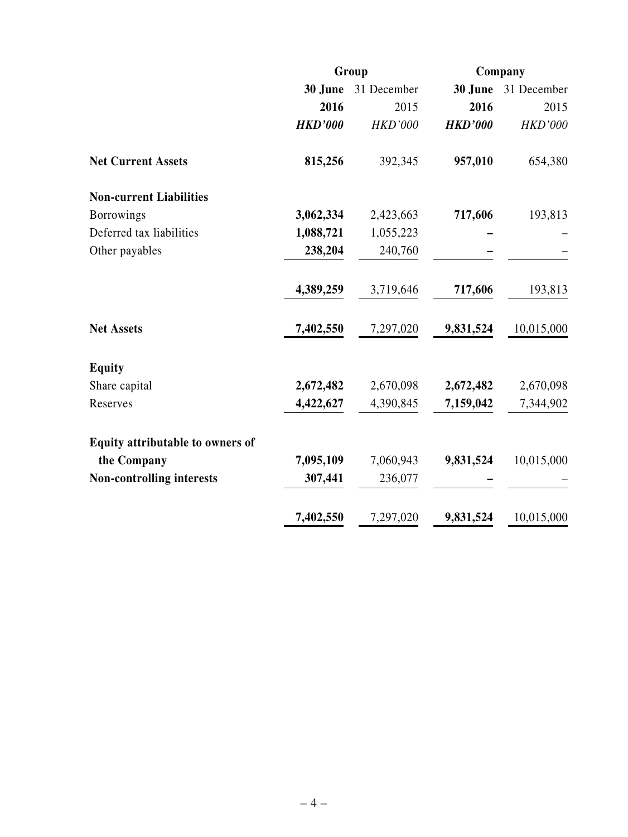|                                  |                | Group          | Company        |             |  |
|----------------------------------|----------------|----------------|----------------|-------------|--|
|                                  | 30 June        | 31 December    | 30 June        | 31 December |  |
|                                  | 2016           | 2015           | 2016           | 2015        |  |
|                                  | <b>HKD'000</b> | <b>HKD'000</b> | <b>HKD'000</b> | HKD'000     |  |
| <b>Net Current Assets</b>        | 815,256        | 392,345        | 957,010        | 654,380     |  |
| <b>Non-current Liabilities</b>   |                |                |                |             |  |
| <b>Borrowings</b>                | 3,062,334      | 2,423,663      | 717,606        | 193,813     |  |
| Deferred tax liabilities         | 1,088,721      | 1,055,223      |                |             |  |
| Other payables                   | 238,204        | 240,760        |                |             |  |
|                                  | 4,389,259      | 3,719,646      | 717,606        | 193,813     |  |
| <b>Net Assets</b>                | 7,402,550      | 7,297,020      | 9,831,524      | 10,015,000  |  |
| <b>Equity</b>                    |                |                |                |             |  |
| Share capital                    | 2,672,482      | 2,670,098      | 2,672,482      | 2,670,098   |  |
| Reserves                         | 4,422,627      | 4,390,845      | 7,159,042      | 7,344,902   |  |
| Equity attributable to owners of |                |                |                |             |  |
| the Company                      | 7,095,109      | 7,060,943      | 9,831,524      | 10,015,000  |  |
| <b>Non-controlling interests</b> | 307,441        | 236,077        |                |             |  |
|                                  | 7,402,550      | 7,297,020      | 9,831,524      | 10,015,000  |  |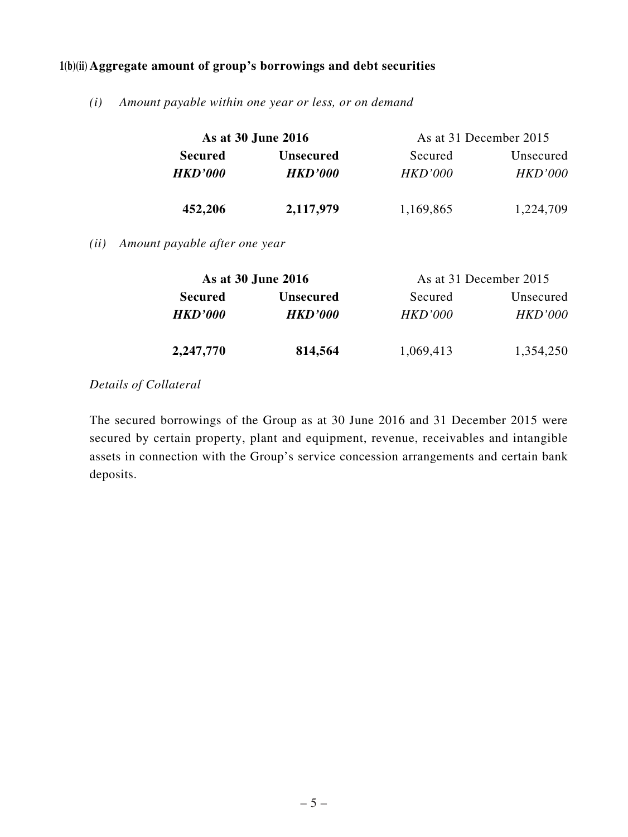### **1(b)(ii) Aggregate amount of group's borrowings and debt securities**

*(i) Amount payable within one year or less, or on demand*

|                | As at 30 June 2016 | As at 31 December 2015 |                |  |  |
|----------------|--------------------|------------------------|----------------|--|--|
| <b>Secured</b> | <b>Unsecured</b>   | Secured                | Unsecured      |  |  |
| <b>HKD'000</b> | <b>HKD'000</b>     | <i>HKD'000</i>         | <b>HKD'000</b> |  |  |
| 452,206        | 2,117,979          | 1,169,865              | 1,224,709      |  |  |

*(ii) Amount payable after one year*

| As at 30 June 2016 |                  | As at 31 December 2015 |                |  |  |
|--------------------|------------------|------------------------|----------------|--|--|
| <b>Secured</b>     | <b>Unsecured</b> | Secured                | Unsecured      |  |  |
| <b>HKD'000</b>     | <b>HKD'000</b>   | HKD'000                | <i>HKD'000</i> |  |  |
| 2,247,770          | 814,564          | 1,069,413              | 1,354,250      |  |  |

## *Details of Collateral*

The secured borrowings of the Group as at 30 June 2016 and 31 December 2015 were secured by certain property, plant and equipment, revenue, receivables and intangible assets in connection with the Group's service concession arrangements and certain bank deposits.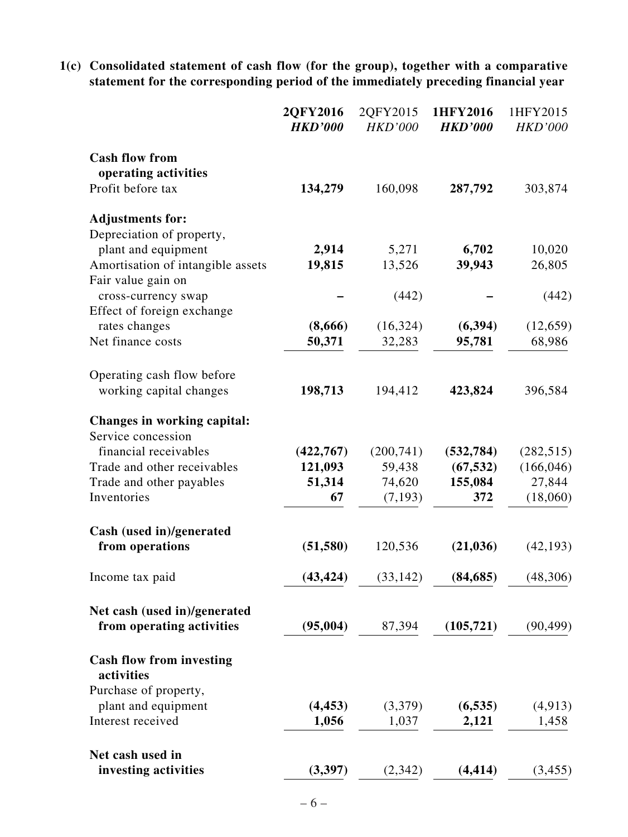**1(c) Consolidated statement of cash flow (for the group), together with a comparative statement for the corresponding period of the immediately preceding financial year**

|                                                   | 2QFY2016<br><b>HKD'000</b> | 2QFY2015<br><b>HKD'000</b> | 1HFY2016<br><b>HKD'000</b> | 1HFY2015<br><b>HKD'000</b> |
|---------------------------------------------------|----------------------------|----------------------------|----------------------------|----------------------------|
| <b>Cash flow from</b>                             |                            |                            |                            |                            |
| operating activities                              |                            |                            |                            |                            |
| Profit before tax                                 | 134,279                    | 160,098                    | 287,792                    | 303,874                    |
| <b>Adjustments for:</b>                           |                            |                            |                            |                            |
| Depreciation of property,                         |                            |                            |                            |                            |
| plant and equipment                               | 2,914                      | 5,271                      | 6,702                      | 10,020                     |
| Amortisation of intangible assets                 | 19,815                     | 13,526                     | 39,943                     | 26,805                     |
| Fair value gain on                                |                            |                            |                            |                            |
| cross-currency swap<br>Effect of foreign exchange |                            | (442)                      |                            | (442)                      |
| rates changes                                     | (8,666)                    | (16, 324)                  | (6, 394)                   | (12, 659)                  |
| Net finance costs                                 | 50,371                     | 32,283                     | 95,781                     | 68,986                     |
|                                                   |                            |                            |                            |                            |
| Operating cash flow before                        |                            |                            |                            |                            |
| working capital changes                           | 198,713                    | 194,412                    | 423,824                    | 396,584                    |
|                                                   |                            |                            |                            |                            |
| Changes in working capital:                       |                            |                            |                            |                            |
| Service concession                                |                            |                            |                            |                            |
| financial receivables                             | (422, 767)                 | (200, 741)                 | (532, 784)                 | (282, 515)                 |
| Trade and other receivables                       | 121,093                    | 59,438                     | (67, 532)                  | (166, 046)                 |
| Trade and other payables                          | 51,314                     | 74,620                     | 155,084                    | 27,844                     |
| Inventories                                       | 67                         | (7, 193)                   | 372                        | (18,060)                   |
| Cash (used in)/generated                          |                            |                            |                            |                            |
| from operations                                   | (51, 580)                  | 120,536                    | (21, 036)                  | (42, 193)                  |
| Income tax paid                                   | (43, 424)                  | (33, 142)                  | (84, 685)                  | (48, 306)                  |
|                                                   |                            |                            |                            |                            |
| Net cash (used in)/generated                      |                            |                            |                            |                            |
| from operating activities                         | (95,004)                   | 87,394                     | (105, 721)                 | (90, 499)                  |
| <b>Cash flow from investing</b><br>activities     |                            |                            |                            |                            |
| Purchase of property,                             |                            |                            |                            |                            |
| plant and equipment                               | (4, 453)                   | (3,379)                    | (6, 535)                   | (4, 913)                   |
| Interest received                                 | 1,056                      | 1,037                      | 2,121                      | 1,458                      |
|                                                   |                            |                            |                            |                            |
| Net cash used in                                  |                            |                            |                            |                            |
| investing activities                              | (3,397)                    | (2,342)                    | (4, 414)                   | (3, 455)                   |
|                                                   |                            |                            |                            |                            |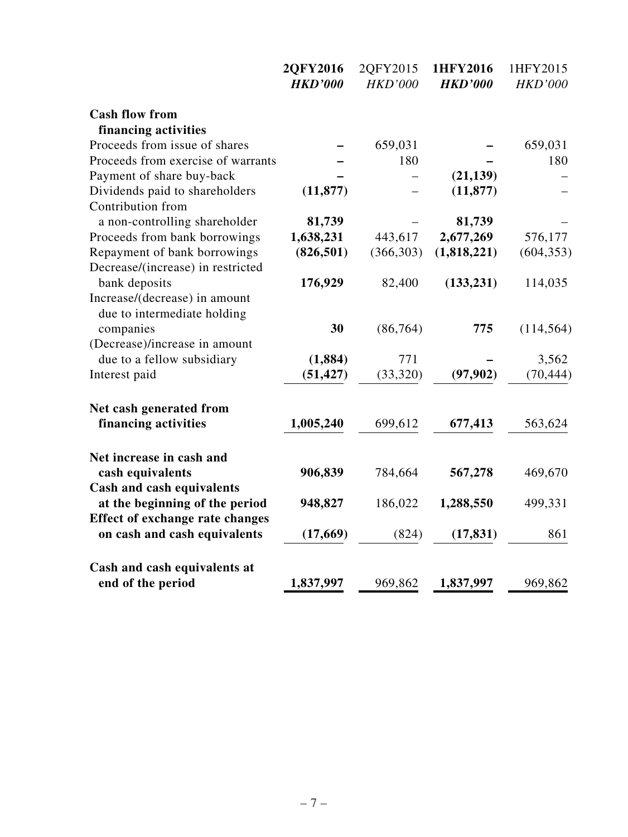|                                                              | 2QFY2016       | 2QFY2015       | 1HFY2016       | 1HFY2015       |
|--------------------------------------------------------------|----------------|----------------|----------------|----------------|
|                                                              | <b>HKD'000</b> | <b>HKD'000</b> | <b>HKD'000</b> | <b>HKD'000</b> |
| <b>Cash flow from</b>                                        |                |                |                |                |
| financing activities                                         |                |                |                |                |
| Proceeds from issue of shares                                |                | 659,031        |                | 659,031        |
| Proceeds from exercise of warrants                           |                | 180            |                | 180            |
| Payment of share buy-back                                    |                |                | (21, 139)      |                |
| Dividends paid to shareholders                               | (11, 877)      |                | (11, 877)      |                |
| Contribution from                                            |                |                |                |                |
| a non-controlling shareholder                                | 81,739         |                | 81,739         |                |
| Proceeds from bank borrowings                                | 1,638,231      | 443,617        | 2,677,269      | 576,177        |
| Repayment of bank borrowings                                 | (826, 501)     | (366, 303)     | (1,818,221)    | (604, 353)     |
| Decrease/(increase) in restricted                            |                |                |                |                |
| bank deposits                                                | 176,929        | 82,400         | (133, 231)     | 114,035        |
| Increase/(decrease) in amount<br>due to intermediate holding |                |                |                |                |
| companies                                                    | 30             | (86,764)       | 775            | (114, 564)     |
| (Decrease)/increase in amount                                |                |                |                |                |
| due to a fellow subsidiary                                   | (1, 884)       | 771            |                | 3,562          |
| Interest paid                                                | (51, 427)      | (33, 320)      | (97, 902)      | (70, 444)      |
| Net cash generated from                                      |                |                |                |                |
| financing activities                                         | 1,005,240      | 699,612        | 677,413        | 563,624        |
| Net increase in cash and                                     |                |                |                |                |
| cash equivalents                                             | 906,839        | 784,664        | 567,278        | 469,670        |
| Cash and cash equivalents                                    |                |                |                |                |
| at the beginning of the period                               | 948,827        | 186,022        | 1,288,550      | 499,331        |
| <b>Effect of exchange rate changes</b>                       |                |                |                |                |
| on cash and cash equivalents                                 | (17,669)       | (824)          | (17, 831)      | 861            |
| Cash and cash equivalents at                                 |                |                |                |                |
| end of the period                                            | 1,837,997      | 969,862        | 1,837,997      | 969,862        |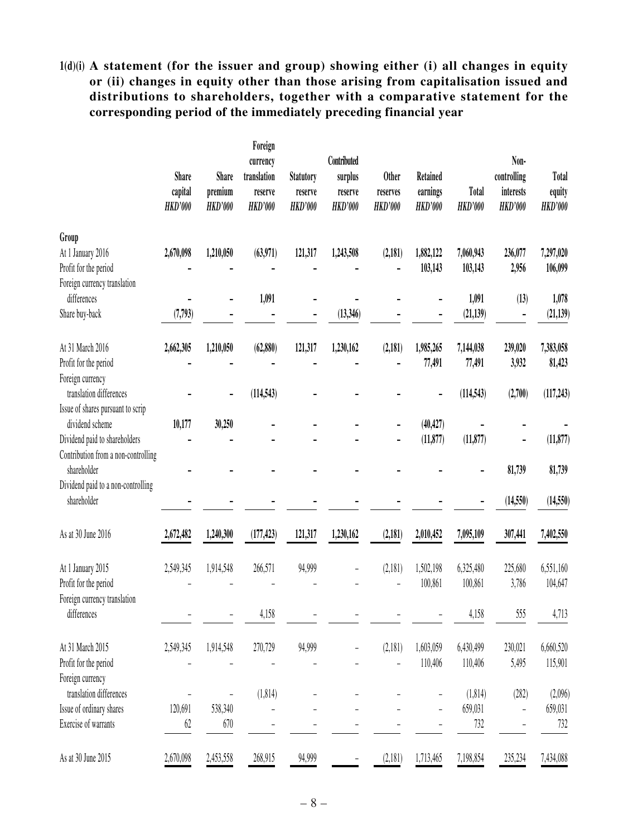**1(d)(i) A statement (for the issuer and group) showing either (i) all changes in equity or (ii) changes in equity other than those arising from capitalisation issued and distributions to shareholders, together with a comparative statement for the corresponding period of the immediately preceding financial year**

|                                                      | <b>Share</b><br>capital<br><b>HKD'000</b> | Share<br>premium<br><b>HKD'000</b> | Foreign<br>currency<br>translation<br>reserve<br><b>HKD'000</b> | <b>Statutory</b><br>reserve<br><b>HKD'000</b> | Contributed<br>surplus<br>reserve<br><b>HKD'000</b> | <b>Other</b><br>reserves<br><b>HKD'000</b> | Retained<br>earnings<br><b>HKD'000</b> | Total<br><b>HKD'000</b> | Non-<br>controlling<br>interests<br><b>HKD'000</b> | <b>Total</b><br>equity<br><b>HKD'000</b> |
|------------------------------------------------------|-------------------------------------------|------------------------------------|-----------------------------------------------------------------|-----------------------------------------------|-----------------------------------------------------|--------------------------------------------|----------------------------------------|-------------------------|----------------------------------------------------|------------------------------------------|
| Group                                                |                                           |                                    |                                                                 |                                               |                                                     |                                            |                                        |                         |                                                    |                                          |
| At 1 January 2016<br>Profit for the period           | 2,670,098                                 | 1,210,050                          | (63,971)                                                        | 121,317                                       | 1,243,508                                           | (2,181)                                    | 1,882,122<br>103,143                   | 7,060,943<br>103,143    | 236,077<br>2,956                                   | 7,297,020<br>106,099                     |
| Foreign currency translation                         |                                           |                                    |                                                                 |                                               |                                                     |                                            |                                        |                         |                                                    |                                          |
| differences                                          |                                           |                                    | 1,091                                                           |                                               |                                                     |                                            |                                        | 1,091                   | (13)                                               | 1,078                                    |
| Share buy-back                                       | (7, 793)                                  |                                    |                                                                 |                                               | (13,346)                                            |                                            |                                        | (21, 139)               |                                                    | (21, 139)                                |
| At 31 March 2016                                     | 2,662,305                                 | 1,210,050                          | (62, 880)                                                       | 121,317                                       | 1,230,162                                           | (2,181)                                    | 1,985,265                              | 7,144,038               | 239,020                                            | 7,383,058                                |
| Profit for the period                                |                                           |                                    |                                                                 |                                               |                                                     |                                            | 77,491                                 | 77,491                  | 3,932                                              | 81,423                                   |
| Foreign currency                                     |                                           |                                    |                                                                 |                                               |                                                     |                                            |                                        |                         |                                                    |                                          |
| translation differences                              |                                           |                                    | (114, 543)                                                      |                                               |                                                     |                                            |                                        | (114, 543)              | (2,700)                                            | (117, 243)                               |
| Issue of shares pursuant to scrip<br>dividend scheme | 10,177                                    | 30,250                             |                                                                 |                                               |                                                     |                                            | (40, 427)                              |                         |                                                    |                                          |
| Dividend paid to shareholders                        |                                           |                                    |                                                                 |                                               |                                                     |                                            | (11, 877)                              | (11, 877)               | -                                                  | (11, 877)                                |
| Contribution from a non-controlling                  |                                           |                                    |                                                                 |                                               |                                                     |                                            |                                        |                         |                                                    |                                          |
| shareholder                                          |                                           |                                    |                                                                 |                                               |                                                     |                                            |                                        |                         | 81,739                                             | 81,739                                   |
| Dividend paid to a non-controlling                   |                                           |                                    |                                                                 |                                               |                                                     |                                            |                                        |                         |                                                    |                                          |
| shareholder                                          |                                           |                                    |                                                                 |                                               |                                                     |                                            |                                        |                         | (14, 550)                                          | (14, 550)                                |
| As at 30 June 2016                                   | 2,672,482                                 | 1,240,300                          | (177, 423)                                                      | 121,317                                       | 1,230,162                                           | (2,181)                                    | 2,010,452                              | 7,095,109               | 307,441                                            | 7,402,550                                |
| At 1 January 2015                                    | 2,549,345                                 | 1,914,548                          | 266,571                                                         | 94,999                                        |                                                     | (2,181)                                    | 1,502,198                              | 6,325,480               | 225,680                                            | 6,551,160                                |
| Profit for the period                                |                                           |                                    |                                                                 |                                               |                                                     |                                            | 100,861                                | 100,861                 | 3,786                                              | 104,647                                  |
| Foreign currency translation                         |                                           |                                    |                                                                 |                                               |                                                     |                                            |                                        |                         |                                                    |                                          |
| differences                                          |                                           |                                    | 4,158                                                           |                                               |                                                     |                                            |                                        | 4,158                   | 555                                                | 4,713                                    |
| At 31 March 2015                                     | 2,549,345                                 | 1,914,548                          | 270,729                                                         | 94,999                                        |                                                     | (2,181)                                    | 1,603,059                              | 6,430,499               | 230,021                                            | 6,660,520                                |
| Profit for the period                                |                                           |                                    |                                                                 |                                               |                                                     |                                            | 110,406                                | 110,406                 | 5,495                                              | 115,901                                  |
| Foreign currency                                     |                                           |                                    |                                                                 |                                               |                                                     |                                            |                                        |                         |                                                    |                                          |
| translation differences                              |                                           |                                    | (1,814)                                                         |                                               |                                                     |                                            |                                        | (1,814)                 | (282)                                              | (2,096)                                  |
| Issue of ordinary shares                             | 120,691                                   | 538,340                            |                                                                 |                                               |                                                     |                                            |                                        | 659,031                 |                                                    | 659,031                                  |
| Exercise of warrants                                 | 62                                        | 670                                |                                                                 |                                               |                                                     |                                            |                                        | 732                     |                                                    | 732                                      |
| As at 30 June 2015                                   | 2,670,098                                 | 2,453,558                          | 268,915                                                         | 94,999                                        |                                                     | (2,181)                                    | 1,713,465                              | 7,198,854               | 235,234                                            | 7,434,088                                |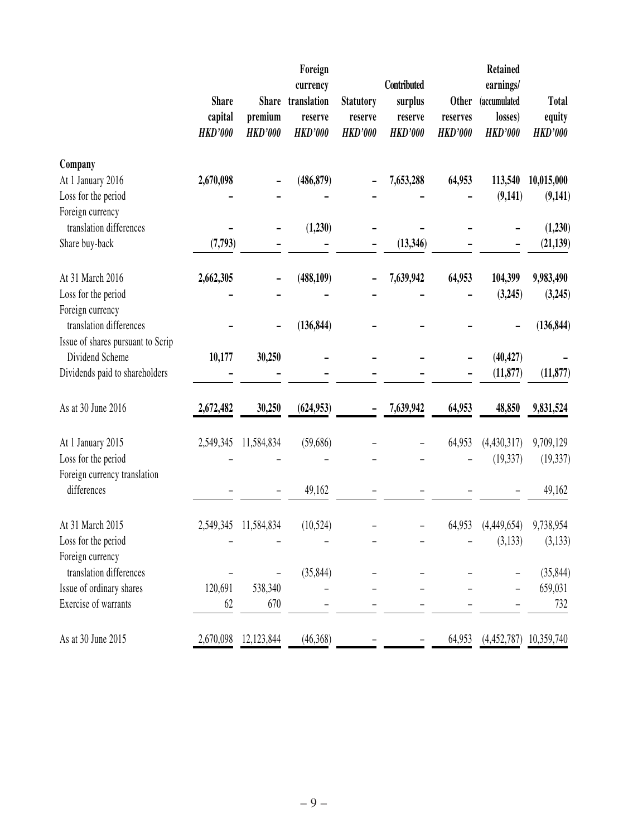|                                         | <b>Share</b><br>capital<br><b>HKD'000</b> | <b>Share</b><br>premium<br><b>HKD'000</b> | Foreign<br>currency<br>translation<br>reserve<br><b>HKD'000</b> | <b>Statutory</b><br>reserve<br><b>HKD'000</b> | Contributed<br>surplus<br>reserve<br><b>HKD'000</b> | <b>Other</b><br>reserves<br><b>HKD'000</b> | <b>Retained</b><br>earnings/<br>(accumulated<br>losses)<br><b>HKD'000</b> | <b>Total</b><br>equity<br><b>HKD'000</b> |
|-----------------------------------------|-------------------------------------------|-------------------------------------------|-----------------------------------------------------------------|-----------------------------------------------|-----------------------------------------------------|--------------------------------------------|---------------------------------------------------------------------------|------------------------------------------|
| Company                                 |                                           |                                           |                                                                 |                                               |                                                     |                                            |                                                                           |                                          |
| At 1 January 2016                       | 2,670,098                                 |                                           | (486, 879)                                                      |                                               | 7,653,288                                           | 64,953                                     | 113,540                                                                   | 10,015,000                               |
| Loss for the period<br>Foreign currency |                                           |                                           |                                                                 |                                               |                                                     |                                            | (9,141)                                                                   | (9,141)                                  |
| translation differences                 |                                           |                                           | (1,230)                                                         |                                               |                                                     |                                            |                                                                           | (1,230)                                  |
| Share buy-back                          | (7,793)                                   |                                           |                                                                 |                                               | (13, 346)                                           |                                            |                                                                           | (21, 139)                                |
| At 31 March 2016                        | 2,662,305                                 |                                           | (488, 109)                                                      |                                               | 7,639,942                                           | 64,953                                     | 104,399                                                                   | 9,983,490                                |
| Loss for the period                     |                                           |                                           |                                                                 |                                               |                                                     |                                            | (3,245)                                                                   | (3,245)                                  |
| Foreign currency                        |                                           |                                           |                                                                 |                                               |                                                     |                                            |                                                                           |                                          |
| translation differences                 |                                           |                                           | (136, 844)                                                      |                                               |                                                     |                                            |                                                                           | (136, 844)                               |
| Issue of shares pursuant to Scrip       |                                           |                                           |                                                                 |                                               |                                                     |                                            |                                                                           |                                          |
| Dividend Scheme                         | 10,177                                    | 30,250                                    |                                                                 |                                               |                                                     |                                            | (40, 427)                                                                 |                                          |
| Dividends paid to shareholders          |                                           |                                           |                                                                 |                                               |                                                     |                                            | (11, 877)                                                                 | (11, 877)                                |
| As at 30 June 2016                      | 2,672,482                                 | 30,250                                    | (624, 953)                                                      |                                               | 7,639,942                                           | 64,953                                     | 48,850                                                                    | 9,831,524                                |
| At 1 January 2015                       | 2,549,345                                 | 11,584,834                                | (59,686)                                                        |                                               |                                                     | 64,953                                     | (4,430,317)                                                               | 9,709,129                                |
| Loss for the period                     |                                           |                                           |                                                                 |                                               |                                                     |                                            | (19, 337)                                                                 | (19, 337)                                |
| Foreign currency translation            |                                           |                                           |                                                                 |                                               |                                                     |                                            |                                                                           |                                          |
| differences                             |                                           |                                           | 49,162                                                          |                                               |                                                     |                                            |                                                                           | 49,162                                   |
| At 31 March 2015                        | 2,549,345                                 | 11,584,834                                | (10, 524)                                                       |                                               |                                                     | 64,953                                     | (4,449,654)                                                               | 9,738,954                                |
| Loss for the period                     |                                           |                                           |                                                                 |                                               |                                                     |                                            | (3,133)                                                                   | (3, 133)                                 |
| Foreign currency                        |                                           |                                           |                                                                 |                                               |                                                     |                                            |                                                                           |                                          |
| translation differences                 |                                           |                                           | (35, 844)                                                       |                                               |                                                     |                                            |                                                                           | (35, 844)                                |
| Issue of ordinary shares                | 120,691                                   | 538,340                                   |                                                                 |                                               |                                                     |                                            |                                                                           | 659,031                                  |
| Exercise of warrants                    | 62                                        | 670                                       |                                                                 |                                               |                                                     |                                            |                                                                           | 732                                      |
| As at 30 June 2015                      | 2,670,098                                 | 12,123,844                                | (46, 368)                                                       |                                               |                                                     | 64,953                                     | (4,452,787)                                                               | 10,359,740                               |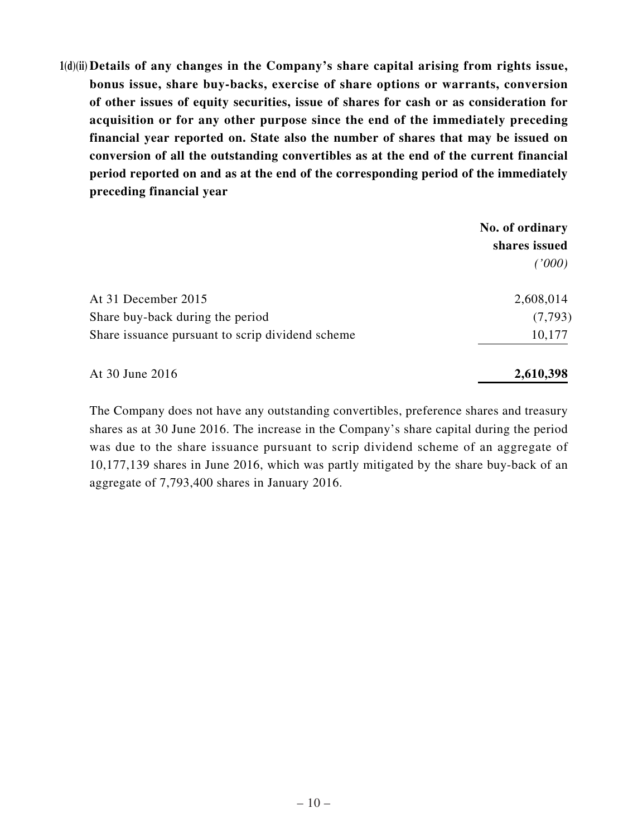**1(d)(ii) Details of any changes in the Company's share capital arising from rights issue, bonus issue, share buy-backs, exercise of share options or warrants, conversion of other issues of equity securities, issue of shares for cash or as consideration for acquisition or for any other purpose since the end of the immediately preceding financial year reported on. State also the number of shares that may be issued on conversion of all the outstanding convertibles as at the end of the current financial period reported on and as at the end of the corresponding period of the immediately preceding financial year**

| shares issued |
|---------------|
| (1000)        |
| 2,608,014     |
| (7, 793)      |
| 10,177        |
|               |

At 30 June 2016 **2,610,398**

The Company does not have any outstanding convertibles, preference shares and treasury shares as at 30 June 2016. The increase in the Company's share capital during the period was due to the share issuance pursuant to scrip dividend scheme of an aggregate of 10,177,139 shares in June 2016, which was partly mitigated by the share buy-back of an aggregate of 7,793,400 shares in January 2016.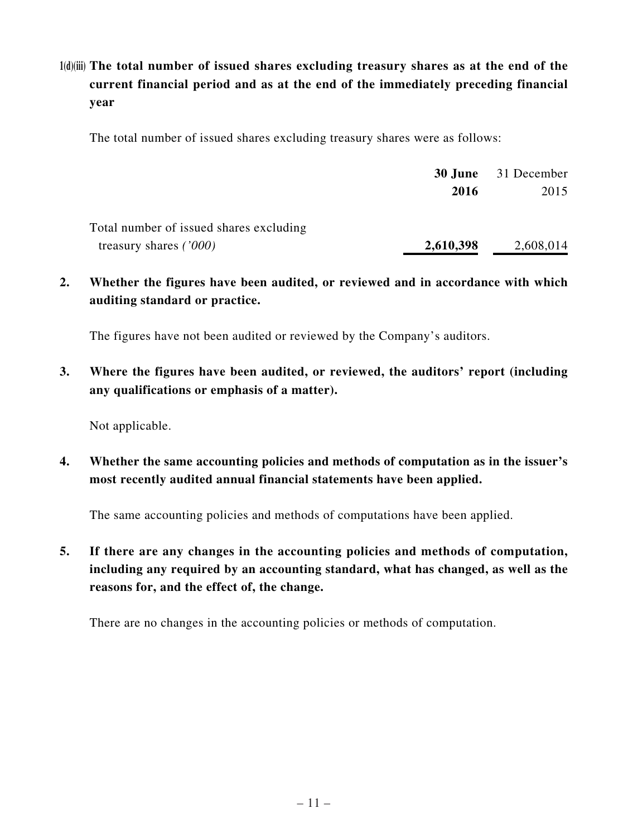# **1(d)(iii) The total number of issued shares excluding treasury shares as at the end of the current financial period and as at the end of the immediately preceding financial year**

The total number of issued shares excluding treasury shares were as follows:

|                                         |           | <b>30 June</b> 31 December |
|-----------------------------------------|-----------|----------------------------|
|                                         | 2016      | 2015                       |
| Total number of issued shares excluding |           |                            |
| treasury shares $(7000)$                | 2,610,398 | 2,608,014                  |

**2. Whether the figures have been audited, or reviewed and in accordance with which auditing standard or practice.**

The figures have not been audited or reviewed by the Company's auditors.

**3. Where the figures have been audited, or reviewed, the auditors' report (including any qualifications or emphasis of a matter).**

Not applicable.

**4. Whether the same accounting policies and methods of computation as in the issuer's most recently audited annual financial statements have been applied.**

The same accounting policies and methods of computations have been applied.

**5. If there are any changes in the accounting policies and methods of computation, including any required by an accounting standard, what has changed, as well as the reasons for, and the effect of, the change.**

There are no changes in the accounting policies or methods of computation.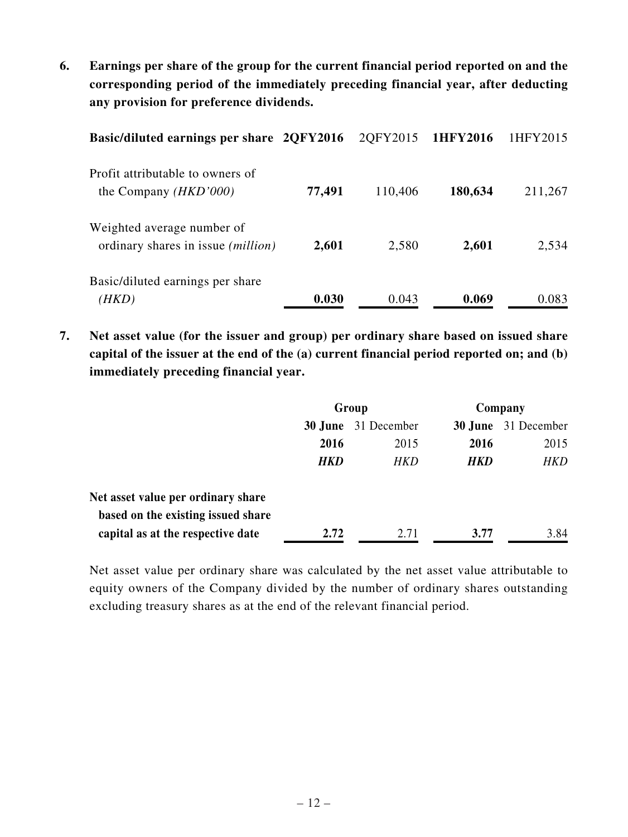**6. Earnings per share of the group for the current financial period reported on and the corresponding period of the immediately preceding financial year, after deducting any provision for preference dividends.**

| Basic/diluted earnings per share 2QFY2016                               |        | 2QFY2015 1HFY2016 |         | 1HFY2015 |
|-------------------------------------------------------------------------|--------|-------------------|---------|----------|
| Profit attributable to owners of<br>the Company $(HKD'000)$             | 77,491 | 110,406           | 180,634 | 211,267  |
| Weighted average number of<br>ordinary shares in issue <i>(million)</i> | 2,601  | 2,580             | 2,601   | 2,534    |
| Basic/diluted earnings per share<br>(HKD)                               | 0.030  | 0.043             | 0.069   | 0.083    |

**7. Net asset value (for the issuer and group) per ordinary share based on issued share capital of the issuer at the end of the (a) current financial period reported on; and (b) immediately preceding financial year.**

|                                    | Group      |             | Company |                            |
|------------------------------------|------------|-------------|---------|----------------------------|
|                                    | 30 June    | 31 December |         | <b>30 June</b> 31 December |
|                                    | 2016       | 2015        | 2016    | 2015                       |
|                                    | <b>HKD</b> | HKD         | HKD     | HKD                        |
| Net asset value per ordinary share |            |             |         |                            |
| based on the existing issued share |            |             |         |                            |
| capital as at the respective date  | 2.72       | 2.71        | 3.77    | 3.84                       |

Net asset value per ordinary share was calculated by the net asset value attributable to equity owners of the Company divided by the number of ordinary shares outstanding excluding treasury shares as at the end of the relevant financial period.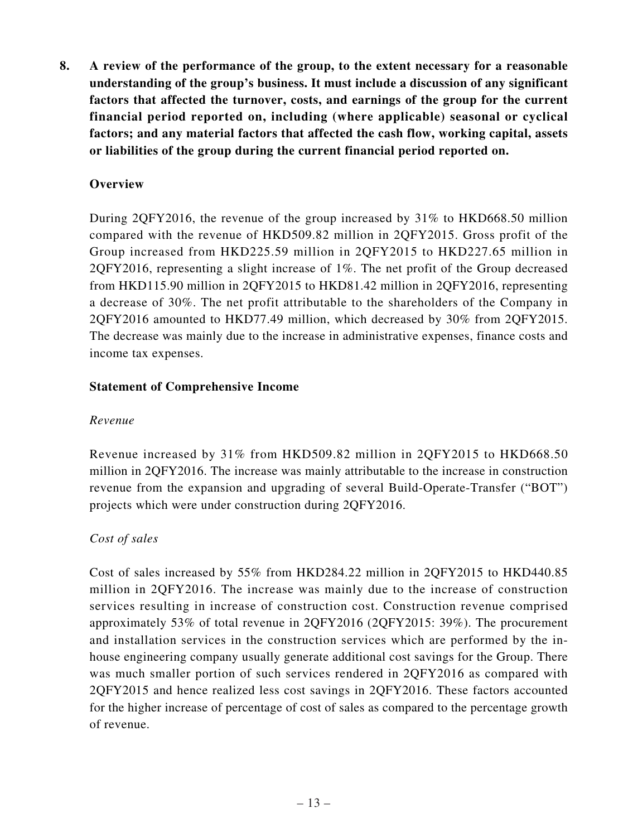**8. A review of the performance of the group, to the extent necessary for a reasonable understanding of the group's business. It must include a discussion of any significant factors that affected the turnover, costs, and earnings of the group for the current financial period reported on, including (where applicable) seasonal or cyclical factors; and any material factors that affected the cash flow, working capital, assets or liabilities of the group during the current financial period reported on.**

# **Overview**

During 2QFY2016, the revenue of the group increased by 31% to HKD668.50 million compared with the revenue of HKD509.82 million in 2QFY2015. Gross profit of the Group increased from HKD225.59 million in 2QFY2015 to HKD227.65 million in 2QFY2016, representing a slight increase of 1%. The net profit of the Group decreased from HKD115.90 million in 2QFY2015 to HKD81.42 million in 2QFY2016, representing a decrease of 30%. The net profit attributable to the shareholders of the Company in 2QFY2016 amounted to HKD77.49 million, which decreased by 30% from 2QFY2015. The decrease was mainly due to the increase in administrative expenses, finance costs and income tax expenses.

#### **Statement of Comprehensive Income**

#### *Revenue*

Revenue increased by 31% from HKD509.82 million in 2QFY2015 to HKD668.50 million in 2QFY2016. The increase was mainly attributable to the increase in construction revenue from the expansion and upgrading of several Build-Operate-Transfer ("BOT") projects which were under construction during 2QFY2016.

#### *Cost of sales*

Cost of sales increased by 55% from HKD284.22 million in 2QFY2015 to HKD440.85 million in 2QFY2016. The increase was mainly due to the increase of construction services resulting in increase of construction cost. Construction revenue comprised approximately 53% of total revenue in 2QFY2016 (2QFY2015: 39%). The procurement and installation services in the construction services which are performed by the inhouse engineering company usually generate additional cost savings for the Group. There was much smaller portion of such services rendered in 2QFY2016 as compared with 2QFY2015 and hence realized less cost savings in 2QFY2016. These factors accounted for the higher increase of percentage of cost of sales as compared to the percentage growth of revenue.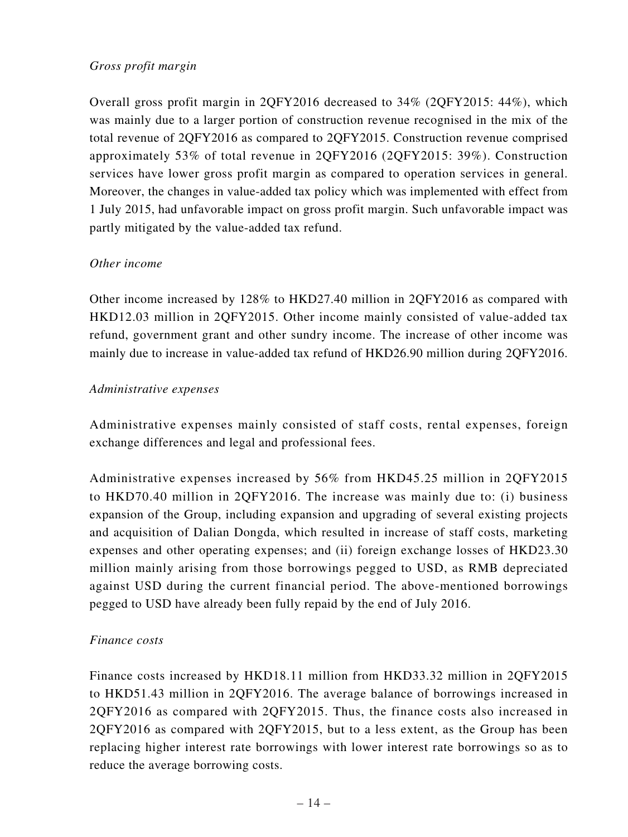## *Gross profit margin*

Overall gross profit margin in 2QFY2016 decreased to 34% (2QFY2015: 44%), which was mainly due to a larger portion of construction revenue recognised in the mix of the total revenue of 2QFY2016 as compared to 2QFY2015. Construction revenue comprised approximately 53% of total revenue in 2QFY2016 (2QFY2015: 39%). Construction services have lower gross profit margin as compared to operation services in general. Moreover, the changes in value-added tax policy which was implemented with effect from 1 July 2015, had unfavorable impact on gross profit margin. Such unfavorable impact was partly mitigated by the value-added tax refund.

#### *Other income*

Other income increased by 128% to HKD27.40 million in 2QFY2016 as compared with HKD12.03 million in 2QFY2015. Other income mainly consisted of value-added tax refund, government grant and other sundry income. The increase of other income was mainly due to increase in value-added tax refund of HKD26.90 million during 2QFY2016.

#### *Administrative expenses*

Administrative expenses mainly consisted of staff costs, rental expenses, foreign exchange differences and legal and professional fees.

Administrative expenses increased by 56% from HKD45.25 million in 2QFY2015 to HKD70.40 million in 2QFY2016. The increase was mainly due to: (i) business expansion of the Group, including expansion and upgrading of several existing projects and acquisition of Dalian Dongda, which resulted in increase of staff costs, marketing expenses and other operating expenses; and (ii) foreign exchange losses of HKD23.30 million mainly arising from those borrowings pegged to USD, as RMB depreciated against USD during the current financial period. The above-mentioned borrowings pegged to USD have already been fully repaid by the end of July 2016.

#### *Finance costs*

Finance costs increased by HKD18.11 million from HKD33.32 million in 2QFY2015 to HKD51.43 million in 2QFY2016. The average balance of borrowings increased in 2QFY2016 as compared with 2QFY2015. Thus, the finance costs also increased in 2QFY2016 as compared with 2QFY2015, but to a less extent, as the Group has been replacing higher interest rate borrowings with lower interest rate borrowings so as to reduce the average borrowing costs.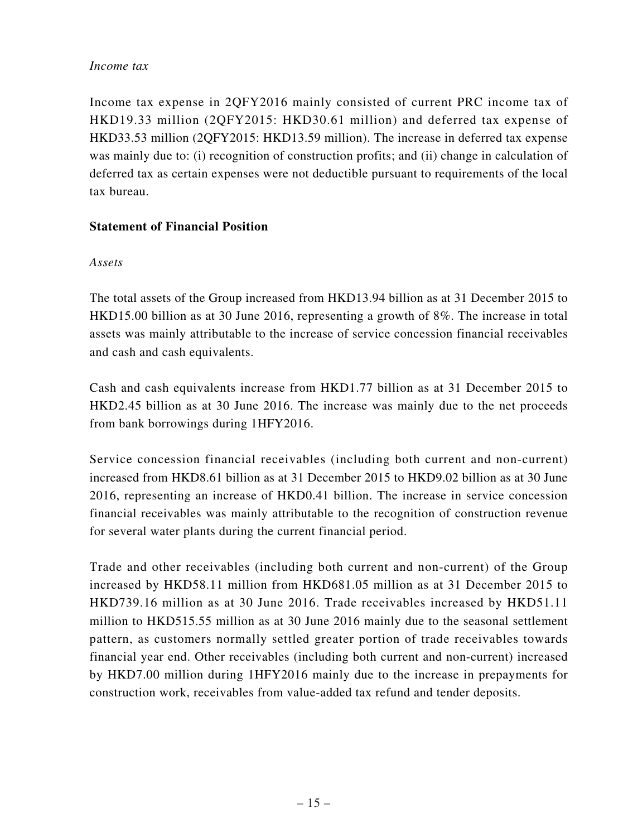#### *Income tax*

Income tax expense in 2QFY2016 mainly consisted of current PRC income tax of HKD19.33 million (2QFY2015: HKD30.61 million) and deferred tax expense of HKD33.53 million (2QFY2015: HKD13.59 million). The increase in deferred tax expense was mainly due to: (i) recognition of construction profits; and (ii) change in calculation of deferred tax as certain expenses were not deductible pursuant to requirements of the local tax bureau.

## **Statement of Financial Position**

#### *Assets*

The total assets of the Group increased from HKD13.94 billion as at 31 December 2015 to HKD15.00 billion as at 30 June 2016, representing a growth of 8%. The increase in total assets was mainly attributable to the increase of service concession financial receivables and cash and cash equivalents.

Cash and cash equivalents increase from HKD1.77 billion as at 31 December 2015 to HKD2.45 billion as at 30 June 2016. The increase was mainly due to the net proceeds from bank borrowings during 1HFY2016.

Service concession financial receivables (including both current and non-current) increased from HKD8.61 billion as at 31 December 2015 to HKD9.02 billion as at 30 June 2016, representing an increase of HKD0.41 billion. The increase in service concession financial receivables was mainly attributable to the recognition of construction revenue for several water plants during the current financial period.

Trade and other receivables (including both current and non-current) of the Group increased by HKD58.11 million from HKD681.05 million as at 31 December 2015 to HKD739.16 million as at 30 June 2016. Trade receivables increased by HKD51.11 million to HKD515.55 million as at 30 June 2016 mainly due to the seasonal settlement pattern, as customers normally settled greater portion of trade receivables towards financial year end. Other receivables (including both current and non-current) increased by HKD7.00 million during 1HFY2016 mainly due to the increase in prepayments for construction work, receivables from value-added tax refund and tender deposits.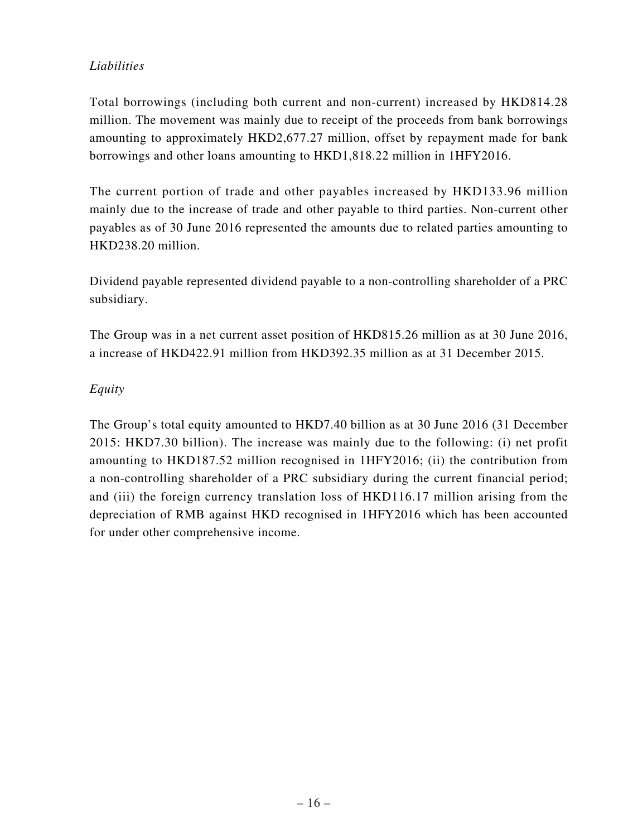# *Liabilities*

Total borrowings (including both current and non-current) increased by HKD814.28 million. The movement was mainly due to receipt of the proceeds from bank borrowings amounting to approximately HKD2,677.27 million, offset by repayment made for bank borrowings and other loans amounting to HKD1,818.22 million in 1HFY2016.

The current portion of trade and other payables increased by HKD133.96 million mainly due to the increase of trade and other payable to third parties. Non-current other payables as of 30 June 2016 represented the amounts due to related parties amounting to HKD238.20 million.

Dividend payable represented dividend payable to a non-controlling shareholder of a PRC subsidiary.

The Group was in a net current asset position of HKD815.26 million as at 30 June 2016, a increase of HKD422.91 million from HKD392.35 million as at 31 December 2015.

# *Equity*

The Group's total equity amounted to HKD7.40 billion as at 30 June 2016 (31 December 2015: HKD7.30 billion). The increase was mainly due to the following: (i) net profit amounting to HKD187.52 million recognised in 1HFY2016; (ii) the contribution from a non-controlling shareholder of a PRC subsidiary during the current financial period; and (iii) the foreign currency translation loss of HKD116.17 million arising from the depreciation of RMB against HKD recognised in 1HFY2016 which has been accounted for under other comprehensive income.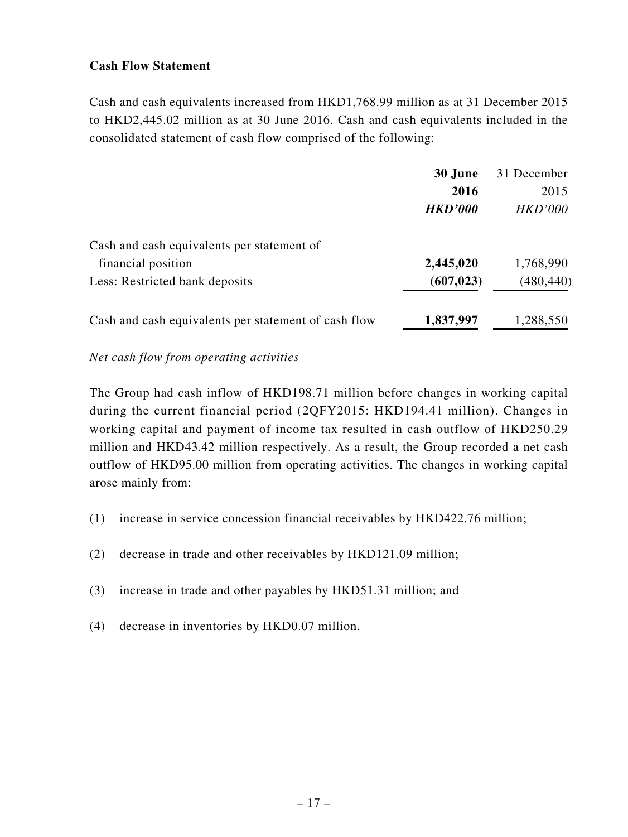## **Cash Flow Statement**

Cash and cash equivalents increased from HKD1,768.99 million as at 31 December 2015 to HKD2,445.02 million as at 30 June 2016. Cash and cash equivalents included in the consolidated statement of cash flow comprised of the following:

|                                                      | 30 June        | 31 December    |
|------------------------------------------------------|----------------|----------------|
|                                                      | 2016           | 2015           |
|                                                      | <b>HKD'000</b> | <b>HKD'000</b> |
| Cash and cash equivalents per statement of           |                |                |
| financial position                                   | 2,445,020      | 1,768,990      |
| Less: Restricted bank deposits                       | (607, 023)     | (480, 440)     |
| Cash and cash equivalents per statement of cash flow | 1,837,997      | 1,288,550      |

#### *Net cash flow from operating activities*

The Group had cash inflow of HKD198.71 million before changes in working capital during the current financial period (2QFY2015: HKD194.41 million). Changes in working capital and payment of income tax resulted in cash outflow of HKD250.29 million and HKD43.42 million respectively. As a result, the Group recorded a net cash outflow of HKD95.00 million from operating activities. The changes in working capital arose mainly from:

- (1) increase in service concession financial receivables by HKD422.76 million;
- (2) decrease in trade and other receivables by HKD121.09 million;
- (3) increase in trade and other payables by HKD51.31 million; and
- (4) decrease in inventories by HKD0.07 million.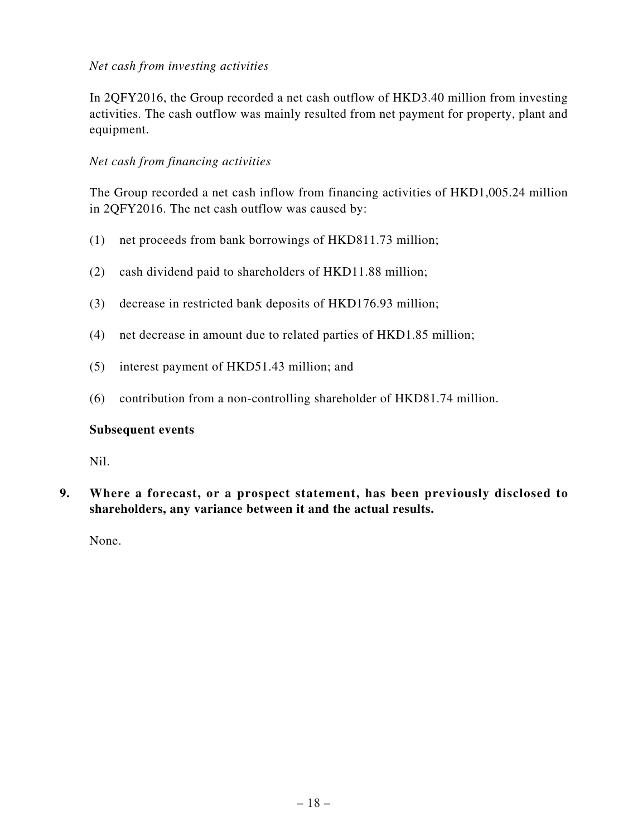### *Net cash from investing activities*

In 2QFY2016, the Group recorded a net cash outflow of HKD3.40 million from investing activities. The cash outflow was mainly resulted from net payment for property, plant and equipment.

#### *Net cash from financing activities*

The Group recorded a net cash inflow from financing activities of HKD1,005.24 million in 2QFY2016. The net cash outflow was caused by:

- (1) net proceeds from bank borrowings of HKD811.73 million;
- (2) cash dividend paid to shareholders of HKD11.88 million;
- (3) decrease in restricted bank deposits of HKD176.93 million;
- (4) net decrease in amount due to related parties of HKD1.85 million;
- (5) interest payment of HKD51.43 million; and
- (6) contribution from a non-controlling shareholder of HKD81.74 million.

#### **Subsequent events**

Nil.

**9. Where a forecast, or a prospect statement, has been previously disclosed to shareholders, any variance between it and the actual results.**

None.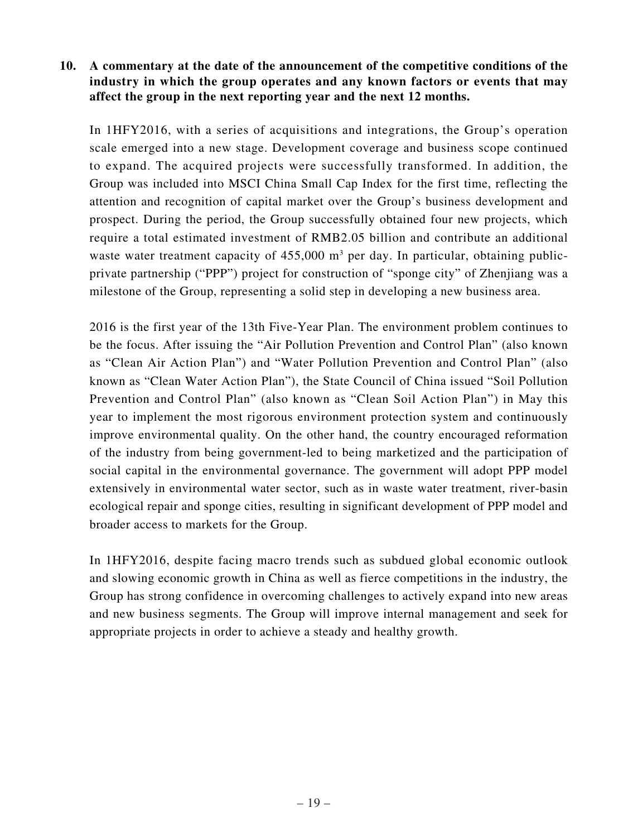## **10. A commentary at the date of the announcement of the competitive conditions of the industry in which the group operates and any known factors or events that may affect the group in the next reporting year and the next 12 months.**

In 1HFY2016, with a series of acquisitions and integrations, the Group's operation scale emerged into a new stage. Development coverage and business scope continued to expand. The acquired projects were successfully transformed. In addition, the Group was included into MSCI China Small Cap Index for the first time, reflecting the attention and recognition of capital market over the Group's business development and prospect. During the period, the Group successfully obtained four new projects, which require a total estimated investment of RMB2.05 billion and contribute an additional waste water treatment capacity of  $455,000$  m<sup>3</sup> per day. In particular, obtaining publicprivate partnership ("PPP") project for construction of "sponge city" of Zhenjiang was a milestone of the Group, representing a solid step in developing a new business area.

2016 is the first year of the 13th Five-Year Plan. The environment problem continues to be the focus. After issuing the "Air Pollution Prevention and Control Plan" (also known as "Clean Air Action Plan") and "Water Pollution Prevention and Control Plan" (also known as "Clean Water Action Plan"), the State Council of China issued "Soil Pollution Prevention and Control Plan" (also known as "Clean Soil Action Plan") in May this year to implement the most rigorous environment protection system and continuously improve environmental quality. On the other hand, the country encouraged reformation of the industry from being government-led to being marketized and the participation of social capital in the environmental governance. The government will adopt PPP model extensively in environmental water sector, such as in waste water treatment, river-basin ecological repair and sponge cities, resulting in significant development of PPP model and broader access to markets for the Group.

In 1HFY2016, despite facing macro trends such as subdued global economic outlook and slowing economic growth in China as well as fierce competitions in the industry, the Group has strong confidence in overcoming challenges to actively expand into new areas and new business segments. The Group will improve internal management and seek for appropriate projects in order to achieve a steady and healthy growth.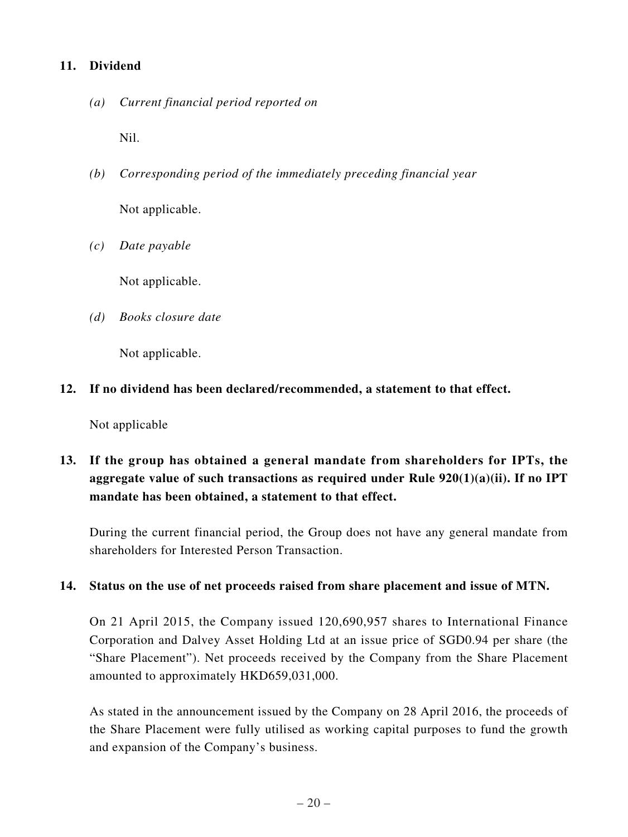### **11. Dividend**

*(a) Current financial period reported on*

Nil.

- *(b) Corresponding period of the immediately preceding financial year* Not applicable.
- *(c) Date payable*

Not applicable.

*(d) Books closure date*

Not applicable.

**12. If no dividend has been declared/recommended, a statement to that effect.**

Not applicable

**13. If the group has obtained a general mandate from shareholders for IPTs, the aggregate value of such transactions as required under Rule 920(1)(a)(ii). If no IPT mandate has been obtained, a statement to that effect.**

During the current financial period, the Group does not have any general mandate from shareholders for Interested Person Transaction.

#### **14. Status on the use of net proceeds raised from share placement and issue of MTN.**

On 21 April 2015, the Company issued 120,690,957 shares to International Finance Corporation and Dalvey Asset Holding Ltd at an issue price of SGD0.94 per share (the "Share Placement"). Net proceeds received by the Company from the Share Placement amounted to approximately HKD659,031,000.

As stated in the announcement issued by the Company on 28 April 2016, the proceeds of the Share Placement were fully utilised as working capital purposes to fund the growth and expansion of the Company's business.